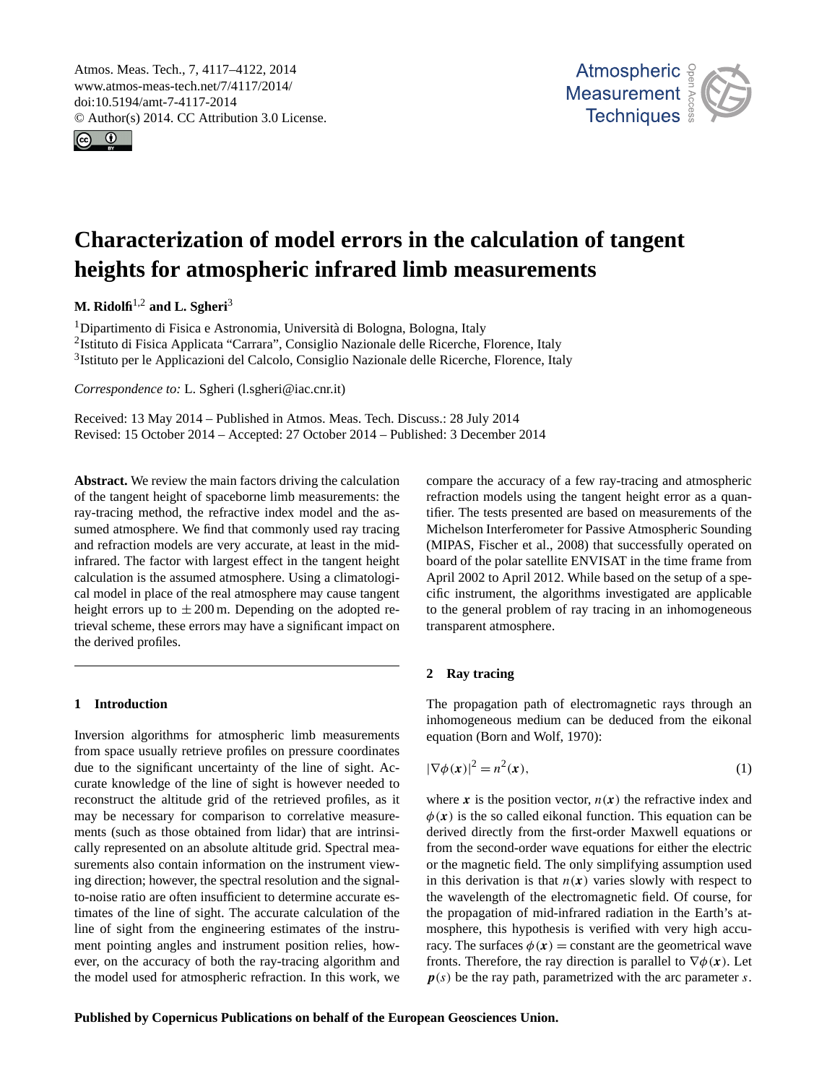<span id="page-0-2"></span>Atmos. Meas. Tech., 7, 4117–4122, 2014 www.atmos-meas-tech.net/7/4117/2014/ doi:10.5194/amt-7-4117-2014 © Author(s) 2014. CC Attribution 3.0 License.





# **Characterization of model errors in the calculation of tangent heights for atmospheric infrared limb measurements**

**M. Ridolfi**[1,2](#page-0-0) **and L. Sgheri**[3](#page-0-0)

<sup>1</sup>Dipartimento di Fisica e Astronomia, Università di Bologna, Bologna, Italy <sup>2</sup>Istituto di Fisica Applicata "Carrara", Consiglio Nazionale delle Ricerche, Florence, Italy <sup>3</sup>Istituto per le Applicazioni del Calcolo, Consiglio Nazionale delle Ricerche, Florence, Italy

*Correspondence to:* L. Sgheri (l.sgheri@iac.cnr.it)

Received: 13 May 2014 – Published in Atmos. Meas. Tech. Discuss.: 28 July 2014 Revised: 15 October 2014 – Accepted: 27 October 2014 – Published: 3 December 2014

<span id="page-0-0"></span>**Abstract.** We review the main factors driving the calculation of the tangent height of spaceborne limb measurements: the ray-tracing method, the refractive index model and the assumed atmosphere. We find that commonly used ray tracing and refraction models are very accurate, at least in the midinfrared. The factor with largest effect in the tangent height calculation is the assumed atmosphere. Using a climatological model in place of the real atmosphere may cause tangent height errors up to  $\pm 200$  m. Depending on the adopted retrieval scheme, these errors may have a significant impact on the derived profiles.

## **1 Introduction**

Inversion algorithms for atmospheric limb measurements from space usually retrieve profiles on pressure coordinates due to the significant uncertainty of the line of sight. Accurate knowledge of the line of sight is however needed to reconstruct the altitude grid of the retrieved profiles, as it may be necessary for comparison to correlative measurements (such as those obtained from lidar) that are intrinsically represented on an absolute altitude grid. Spectral measurements also contain information on the instrument viewing direction; however, the spectral resolution and the signalto-noise ratio are often insufficient to determine accurate estimates of the line of sight. The accurate calculation of the line of sight from the engineering estimates of the instrument pointing angles and instrument position relies, however, on the accuracy of both the ray-tracing algorithm and the model used for atmospheric refraction. In this work, we

compare the accuracy of a few ray-tracing and atmospheric refraction models using the tangent height error as a quantifier. The tests presented are based on measurements of the Michelson Interferometer for Passive Atmospheric Sounding (MIPAS, [Fischer et al.,](#page-4-0) [2008\)](#page-4-0) that successfully operated on board of the polar satellite ENVISAT in the time frame from April 2002 to April 2012. While based on the setup of a specific instrument, the algorithms investigated are applicable to the general problem of ray tracing in an inhomogeneous transparent atmosphere.

# <span id="page-0-3"></span>**2 Ray tracing**

<span id="page-0-1"></span>The propagation path of electromagnetic rays through an inhomogeneous medium can be deduced from the eikonal equation [\(Born and Wolf,](#page-4-1) [1970\)](#page-4-1):

$$
|\nabla \phi(\mathbf{x})|^2 = n^2(\mathbf{x}),\tag{1}
$$

where x is the position vector,  $n(x)$  the refractive index and  $\phi(x)$  is the so called eikonal function. This equation can be derived directly from the first-order Maxwell equations or from the second-order wave equations for either the electric or the magnetic field. The only simplifying assumption used in this derivation is that  $n(x)$  varies slowly with respect to the wavelength of the electromagnetic field. Of course, for the propagation of mid-infrared radiation in the Earth's atmosphere, this hypothesis is verified with very high accuracy. The surfaces  $\phi(x) =$  constant are the geometrical wave fronts. Therefore, the ray direction is parallel to  $\nabla \phi(\mathbf{x})$ . Let  $p(s)$  be the ray path, parametrized with the arc parameter s.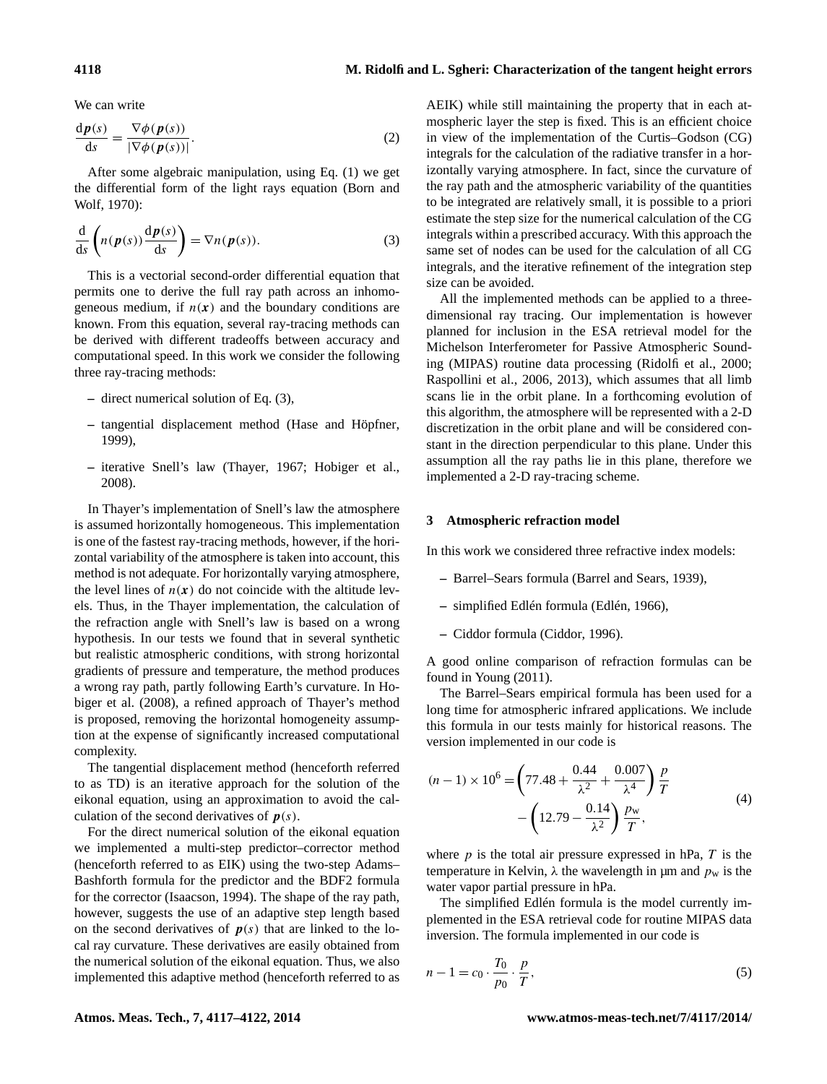We can write

$$
\frac{d\mathbf{p}(s)}{ds} = \frac{\nabla \phi(\mathbf{p}(s))}{|\nabla \phi(\mathbf{p}(s))|}.
$$
 (2)

<span id="page-1-0"></span>After some algebraic manipulation, using Eq. [\(1\)](#page-0-1) we get the differential form of the light rays equation [\(Born and](#page-4-1) [Wolf,](#page-4-1) [1970\)](#page-4-1):

$$
\frac{d}{ds}\left(n(\boldsymbol{p}(s))\frac{d\boldsymbol{p}(s)}{ds}\right) = \nabla n(\boldsymbol{p}(s)).\tag{3}
$$

This is a vectorial second-order differential equation that permits one to derive the full ray path across an inhomogeneous medium, if  $n(x)$  and the boundary conditions are known. From this equation, several ray-tracing methods can be derived with different tradeoffs between accuracy and computational speed. In this work we consider the following three ray-tracing methods:

- **–** direct numerical solution of Eq. [\(3\)](#page-1-0),
- **–** tangential displacement method [\(Hase and Höpfner,](#page-4-2) [1999\)](#page-4-2),
- **–** iterative Snell's law [\(Thayer,](#page-5-0) [1967;](#page-5-0) [Hobiger et al.,](#page-4-3) [2008\)](#page-4-3).

In Thayer's implementation of Snell's law the atmosphere is assumed horizontally homogeneous. This implementation is one of the fastest ray-tracing methods, however, if the horizontal variability of the atmosphere is taken into account, this method is not adequate. For horizontally varying atmosphere, the level lines of  $n(x)$  do not coincide with the altitude levels. Thus, in the Thayer implementation, the calculation of the refraction angle with Snell's law is based on a wrong hypothesis. In our tests we found that in several synthetic but realistic atmospheric conditions, with strong horizontal gradients of pressure and temperature, the method produces a wrong ray path, partly following Earth's curvature. In [Ho](#page-4-3)[biger et al.](#page-4-3) [\(2008\)](#page-4-3), a refined approach of Thayer's method is proposed, removing the horizontal homogeneity assumption at the expense of significantly increased computational complexity.

The tangential displacement method (henceforth referred to as TD) is an iterative approach for the solution of the eikonal equation, using an approximation to avoid the calculation of the second derivatives of  $p(s)$ .

For the direct numerical solution of the eikonal equation we implemented a multi-step predictor–corrector method (henceforth referred to as EIK) using the two-step Adams– Bashforth formula for the predictor and the BDF2 formula for the corrector [\(Isaacson,](#page-4-4) [1994\)](#page-4-4). The shape of the ray path, however, suggests the use of an adaptive step length based on the second derivatives of  $p(s)$  that are linked to the local ray curvature. These derivatives are easily obtained from the numerical solution of the eikonal equation. Thus, we also implemented this adaptive method (henceforth referred to as

AEIK) while still maintaining the property that in each atmospheric layer the step is fixed. This is an efficient choice in view of the implementation of the Curtis–Godson (CG) integrals for the calculation of the radiative transfer in a horizontally varying atmosphere. In fact, since the curvature of the ray path and the atmospheric variability of the quantities to be integrated are relatively small, it is possible to a priori estimate the step size for the numerical calculation of the CG integrals within a prescribed accuracy. With this approach the same set of nodes can be used for the calculation of all CG integrals, and the iterative refinement of the integration step size can be avoided.

All the implemented methods can be applied to a threedimensional ray tracing. Our implementation is however planned for inclusion in the ESA retrieval model for the Michelson Interferometer for Passive Atmospheric Sounding (MIPAS) routine data processing [\(Ridolfi et al.,](#page-5-1) [2000;](#page-5-1) [Raspollini et al.,](#page-5-2) [2006,](#page-5-2) [2013\)](#page-5-3), which assumes that all limb scans lie in the orbit plane. In a forthcoming evolution of this algorithm, the atmosphere will be represented with a 2-D discretization in the orbit plane and will be considered constant in the direction perpendicular to this plane. Under this assumption all the ray paths lie in this plane, therefore we implemented a 2-D ray-tracing scheme.

## **3 Atmospheric refraction model**

In this work we considered three refractive index models:

- **–** Barrel–Sears formula [\(Barrel and Sears,](#page-4-5) [1939\)](#page-4-5),
- **–** simplified Edlén formula [\(Edlén,](#page-4-6) [1966\)](#page-4-6),
- **–** Ciddor formula [\(Ciddor,](#page-4-7) [1996\)](#page-4-7).

A good online comparison of refraction formulas can be found in [Young](#page-5-4) [\(2011\)](#page-5-4).

The Barrel–Sears empirical formula has been used for a long time for atmospheric infrared applications. We include this formula in our tests mainly for historical reasons. The version implemented in our code is

$$
(n-1) \times 10^6 = \left(77.48 + \frac{0.44}{\lambda^2} + \frac{0.007}{\lambda^4}\right) \frac{p}{T}
$$

$$
- \left(12.79 - \frac{0.14}{\lambda^2}\right) \frac{p_w}{T},
$$
(4)

where  $p$  is the total air pressure expressed in hPa,  $T$  is the temperature in Kelvin,  $\lambda$  the wavelength in µm and  $p_w$  is the water vapor partial pressure in hPa.

The simplified Edlén formula is the model currently implemented in the ESA retrieval code for routine MIPAS data inversion. The formula implemented in our code is

$$
n - 1 = c_0 \cdot \frac{T_0}{p_0} \cdot \frac{p}{T},\tag{5}
$$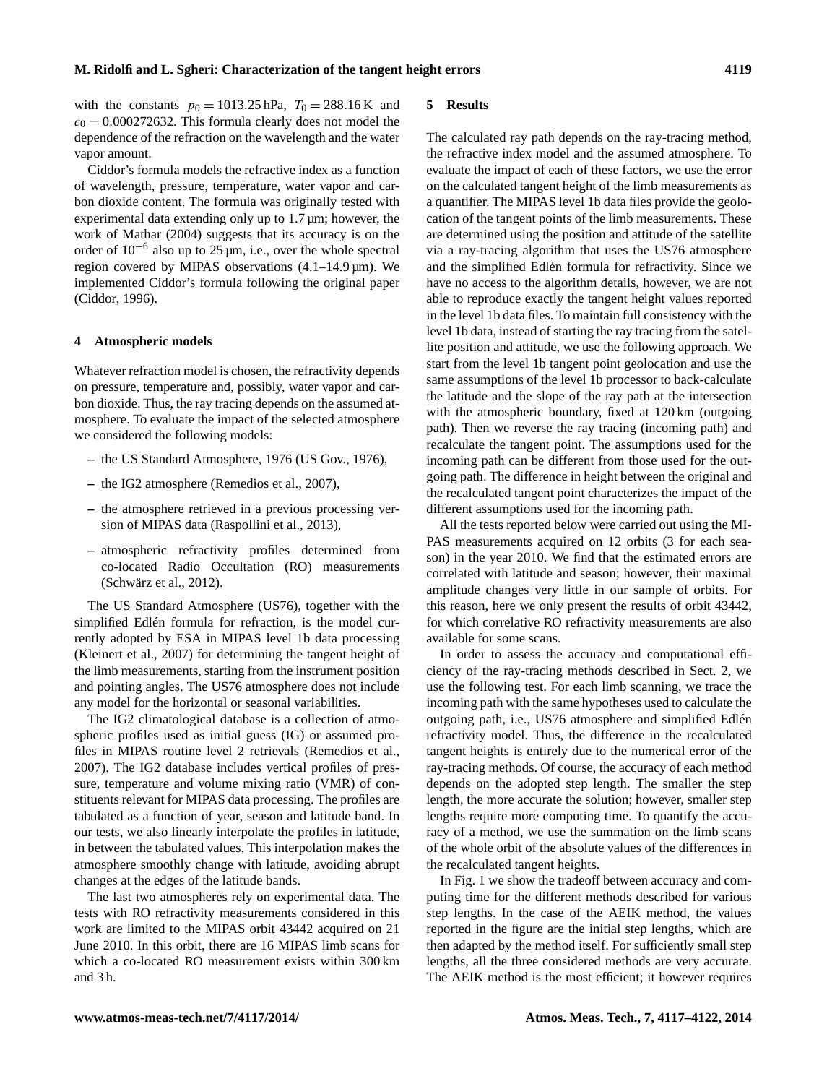with the constants  $p_0 = 1013.25$  hPa,  $T_0 = 288.16$  K and  $c_0 = 0.000272632$ . This formula clearly does not model the dependence of the refraction on the wavelength and the water vapor amount.

Ciddor's formula models the refractive index as a function of wavelength, pressure, temperature, water vapor and carbon dioxide content. The formula was originally tested with experimental data extending only up to 1.7  $\mu$ m; however, the work of [Mathar](#page-5-5) [\(2004\)](#page-5-5) suggests that its accuracy is on the order of  $10^{-6}$  also up to  $25 \mu m$ , i.e., over the whole spectral region covered by MIPAS observations  $(4.1-14.9 \,\mu m)$ . We implemented Ciddor's formula following the original paper [\(Ciddor,](#page-4-7) [1996\)](#page-4-7).

#### **4 Atmospheric models**

Whatever refraction model is chosen, the refractivity depends on pressure, temperature and, possibly, water vapor and carbon dioxide. Thus, the ray tracing depends on the assumed atmosphere. To evaluate the impact of the selected atmosphere we considered the following models:

- **–** the US Standard Atmosphere, 1976 [\(US Gov.,](#page-5-6) [1976\)](#page-5-6),
- **–** the IG2 atmosphere [\(Remedios et al.,](#page-5-7) [2007\)](#page-5-7),
- **–** the atmosphere retrieved in a previous processing version of MIPAS data [\(Raspollini et al.,](#page-5-3) [2013\)](#page-5-3),
- **–** atmospheric refractivity profiles determined from co-located Radio Occultation (RO) measurements [\(Schwärz et al.,](#page-5-8) [2012\)](#page-5-8).

The US Standard Atmosphere (US76), together with the simplified Edlén formula for refraction, is the model currently adopted by ESA in MIPAS level 1b data processing [\(Kleinert et al.,](#page-5-9) [2007\)](#page-5-9) for determining the tangent height of the limb measurements, starting from the instrument position and pointing angles. The US76 atmosphere does not include any model for the horizontal or seasonal variabilities.

The IG2 climatological database is a collection of atmospheric profiles used as initial guess (IG) or assumed profiles in MIPAS routine level 2 retrievals [\(Remedios et al.,](#page-5-7) [2007\)](#page-5-7). The IG2 database includes vertical profiles of pressure, temperature and volume mixing ratio (VMR) of constituents relevant for MIPAS data processing. The profiles are tabulated as a function of year, season and latitude band. In our tests, we also linearly interpolate the profiles in latitude, in between the tabulated values. This interpolation makes the atmosphere smoothly change with latitude, avoiding abrupt changes at the edges of the latitude bands.

The last two atmospheres rely on experimental data. The tests with RO refractivity measurements considered in this work are limited to the MIPAS orbit 43442 acquired on 21 June 2010. In this orbit, there are 16 MIPAS limb scans for which a co-located RO measurement exists within 300 km and 3 h.

#### **5 Results**

The calculated ray path depends on the ray-tracing method, the refractive index model and the assumed atmosphere. To evaluate the impact of each of these factors, we use the error on the calculated tangent height of the limb measurements as a quantifier. The MIPAS level 1b data files provide the geolocation of the tangent points of the limb measurements. These are determined using the position and attitude of the satellite via a ray-tracing algorithm that uses the US76 atmosphere and the simplified Edlén formula for refractivity. Since we have no access to the algorithm details, however, we are not able to reproduce exactly the tangent height values reported in the level 1b data files. To maintain full consistency with the level 1b data, instead of starting the ray tracing from the satellite position and attitude, we use the following approach. We start from the level 1b tangent point geolocation and use the same assumptions of the level 1b processor to back-calculate the latitude and the slope of the ray path at the intersection with the atmospheric boundary, fixed at 120 km (outgoing path). Then we reverse the ray tracing (incoming path) and recalculate the tangent point. The assumptions used for the incoming path can be different from those used for the outgoing path. The difference in height between the original and the recalculated tangent point characterizes the impact of the different assumptions used for the incoming path.

All the tests reported below were carried out using the MI-PAS measurements acquired on 12 orbits (3 for each season) in the year 2010. We find that the estimated errors are correlated with latitude and season; however, their maximal amplitude changes very little in our sample of orbits. For this reason, here we only present the results of orbit 43442, for which correlative RO refractivity measurements are also available for some scans.

In order to assess the accuracy and computational efficiency of the ray-tracing methods described in Sect. [2,](#page-0-3) we use the following test. For each limb scanning, we trace the incoming path with the same hypotheses used to calculate the outgoing path, i.e., US76 atmosphere and simplified Edlén refractivity model. Thus, the difference in the recalculated tangent heights is entirely due to the numerical error of the ray-tracing methods. Of course, the accuracy of each method depends on the adopted step length. The smaller the step length, the more accurate the solution; however, smaller step lengths require more computing time. To quantify the accuracy of a method, we use the summation on the limb scans of the whole orbit of the absolute values of the differences in the recalculated tangent heights.

In Fig. [1](#page-3-0) we show the tradeoff between accuracy and computing time for the different methods described for various step lengths. In the case of the AEIK method, the values reported in the figure are the initial step lengths, which are then adapted by the method itself. For sufficiently small step lengths, all the three considered methods are very accurate. The AEIK method is the most efficient; it however requires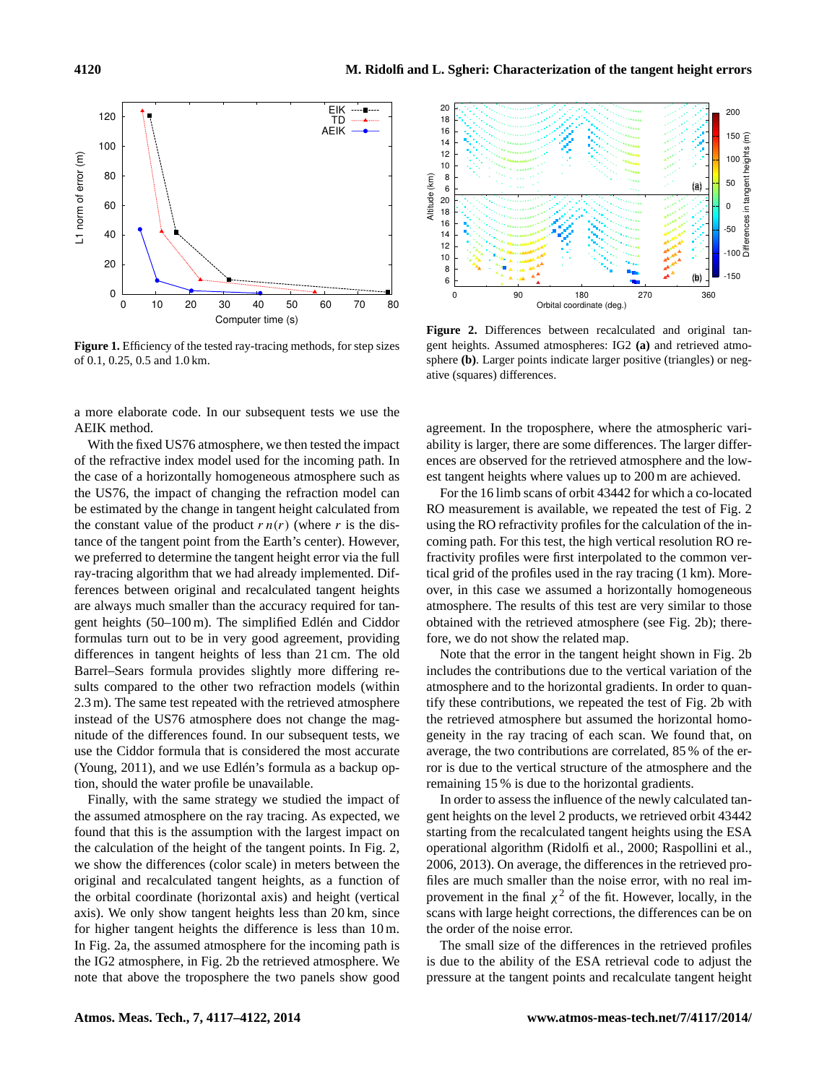

<span id="page-3-0"></span>**Figure 1.** Efficiency of the tested ray-tracing methods, for step sizes of 0.1, 0.25, 0.5 and 1.0 km.

a more elaborate code. In our subsequent tests we use the AEIK method.

With the fixed US76 atmosphere, we then tested the impact of the refractive index model used for the incoming path. In the case of a horizontally homogeneous atmosphere such as the US76, the impact of changing the refraction model can be estimated by the change in tangent height calculated from the constant value of the product  $r n(r)$  (where r is the distance of the tangent point from the Earth's center). However, we preferred to determine the tangent height error via the full ray-tracing algorithm that we had already implemented. Differences between original and recalculated tangent heights are always much smaller than the accuracy required for tangent heights (50–100 m). The simplified Edlén and Ciddor formulas turn out to be in very good agreement, providing differences in tangent heights of less than 21 cm. The old Barrel–Sears formula provides slightly more differing results compared to the other two refraction models (within 2.3 m). The same test repeated with the retrieved atmosphere instead of the US76 atmosphere does not change the magnitude of the differences found. In our subsequent tests, we use the Ciddor formula that is considered the most accurate [\(Young,](#page-5-4) [2011\)](#page-5-4), and we use Edlén's formula as a backup option, should the water profile be unavailable.

Finally, with the same strategy we studied the impact of the assumed atmosphere on the ray tracing. As expected, we found that this is the assumption with the largest impact on the calculation of the height of the tangent points. In Fig. [2,](#page-3-1) we show the differences (color scale) in meters between the original and recalculated tangent heights, as a function of the orbital coordinate (horizontal axis) and height (vertical axis). We only show tangent heights less than 20 km, since for higher tangent heights the difference is less than 10 m. In Fig. [2a](#page-3-1), the assumed atmosphere for the incoming path is the IG2 atmosphere, in Fig. [2b](#page-3-1) the retrieved atmosphere. We note that above the troposphere the two panels show good



<span id="page-3-1"></span>**Figure 2.** Differences between recalculated and original tangent heights. Assumed atmospheres: IG2 **(a)** and retrieved atmosphere **(b)**. Larger points indicate larger positive (triangles) or negative (squares) differences.

agreement. In the troposphere, where the atmospheric variability is larger, there are some differences. The larger differences are observed for the retrieved atmosphere and the lowest tangent heights where values up to 200 m are achieved.

For the 16 limb scans of orbit 43442 for which a co-located RO measurement is available, we repeated the test of Fig. [2](#page-3-1) using the RO refractivity profiles for the calculation of the incoming path. For this test, the high vertical resolution RO refractivity profiles were first interpolated to the common vertical grid of the profiles used in the ray tracing (1 km). Moreover, in this case we assumed a horizontally homogeneous atmosphere. The results of this test are very similar to those obtained with the retrieved atmosphere (see Fig. [2b](#page-3-1)); therefore, we do not show the related map.

Note that the error in the tangent height shown in Fig. [2b](#page-3-1) includes the contributions due to the vertical variation of the atmosphere and to the horizontal gradients. In order to quantify these contributions, we repeated the test of Fig. [2b](#page-3-1) with the retrieved atmosphere but assumed the horizontal homogeneity in the ray tracing of each scan. We found that, on average, the two contributions are correlated, 85 % of the error is due to the vertical structure of the atmosphere and the remaining 15 % is due to the horizontal gradients.

In order to assess the influence of the newly calculated tangent heights on the level 2 products, we retrieved orbit 43442 starting from the recalculated tangent heights using the ESA operational algorithm [\(Ridolfi et al.,](#page-5-1) [2000;](#page-5-1) [Raspollini et al.,](#page-5-2) [2006,](#page-5-2) [2013\)](#page-5-3). On average, the differences in the retrieved profiles are much smaller than the noise error, with no real improvement in the final  $\chi^2$  of the fit. However, locally, in the scans with large height corrections, the differences can be on the order of the noise error.

The small size of the differences in the retrieved profiles is due to the ability of the ESA retrieval code to adjust the pressure at the tangent points and recalculate tangent height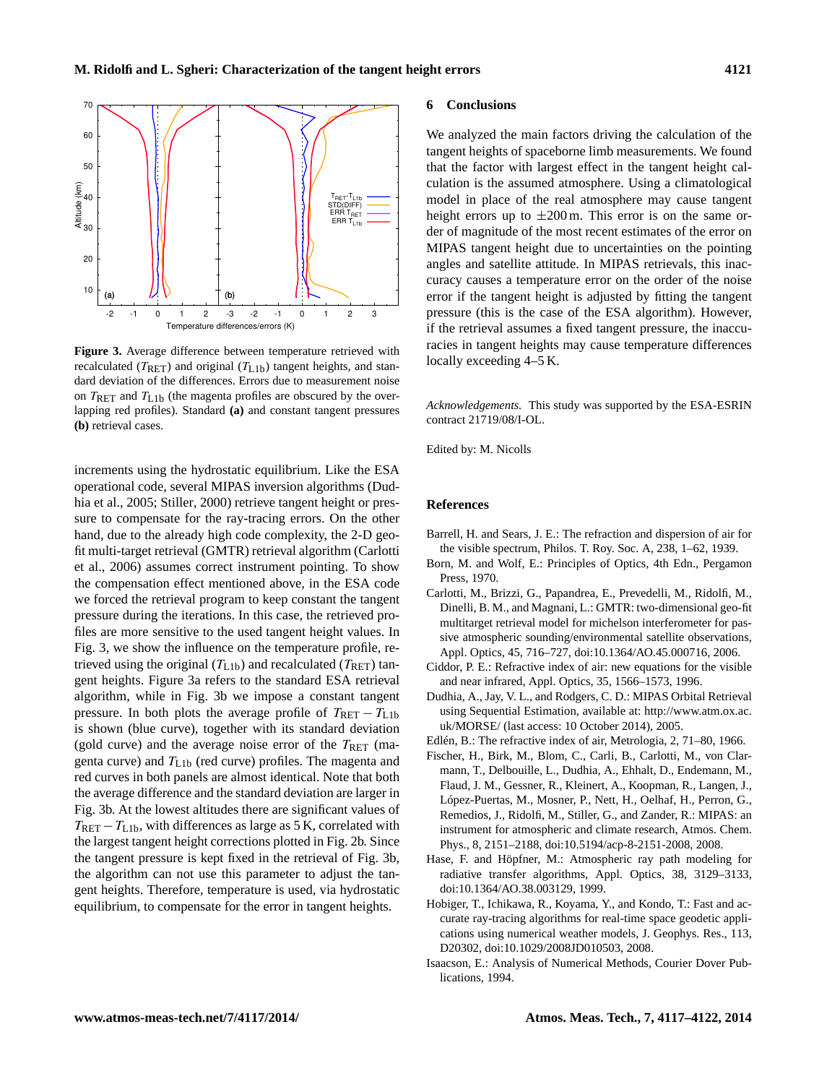

<span id="page-4-10"></span>**Figure 3.** Average difference between temperature retrieved with recalculated ( $T_{\text{RET}}$ ) and original ( $T_{\text{L1b}}$ ) tangent heights, and standard deviation of the differences. Errors due to measurement noise on  $T_{\text{RET}}$  and  $T_{\text{L1b}}$  (the magenta profiles are obscured by the overlapping red profiles). Standard **(a)** and constant tangent pressures **(b)** retrieval cases.

increments using the hydrostatic equilibrium. Like the ESA operational code, several MIPAS inversion algorithms [\(Dud](#page-4-8)[hia et al.,](#page-4-8) [2005;](#page-4-8) [Stiller,](#page-5-10) [2000\)](#page-5-10) retrieve tangent height or pressure to compensate for the ray-tracing errors. On the other hand, due to the already high code complexity, the 2-D geofit multi-target retrieval (GMTR) retrieval algorithm [\(Carlotti](#page-4-9) [et al.,](#page-4-9) [2006\)](#page-4-9) assumes correct instrument pointing. To show the compensation effect mentioned above, in the ESA code we forced the retrieval program to keep constant the tangent pressure during the iterations. In this case, the retrieved profiles are more sensitive to the used tangent height values. In Fig. [3,](#page-4-10) we show the influence on the temperature profile, retrieved using the original  $(T_{L1b})$  and recalculated  $(T_{RET})$  tangent heights. Figure [3a](#page-4-10) refers to the standard ESA retrieval algorithm, while in Fig. [3b](#page-4-10) we impose a constant tangent pressure. In both plots the average profile of  $T_{\text{RET}} - T_{\text{L1b}}$ is shown (blue curve), together with its standard deviation (gold curve) and the average noise error of the  $T_{\text{RET}}$  (magenta curve) and  $T_{L1b}$  (red curve) profiles. The magenta and red curves in both panels are almost identical. Note that both the average difference and the standard deviation are larger in Fig. [3b](#page-4-10). At the lowest altitudes there are significant values of  $T_{\text{RET}} - T_{\text{L1b}}$ , with differences as large as 5 K, correlated with the largest tangent height corrections plotted in Fig. [2b](#page-3-1). Since the tangent pressure is kept fixed in the retrieval of Fig. [3b](#page-4-10), the algorithm can not use this parameter to adjust the tangent heights. Therefore, temperature is used, via hydrostatic equilibrium, to compensate for the error in tangent heights.

## **6 Conclusions**

We analyzed the main factors driving the calculation of the tangent heights of spaceborne limb measurements. We found that the factor with largest effect in the tangent height calculation is the assumed atmosphere. Using a climatological model in place of the real atmosphere may cause tangent height errors up to  $\pm 200$  m. This error is on the same order of magnitude of the most recent estimates of the error on MIPAS tangent height due to uncertainties on the pointing angles and satellite attitude. In MIPAS retrievals, this inaccuracy causes a temperature error on the order of the noise error if the tangent height is adjusted by fitting the tangent pressure (this is the case of the ESA algorithm). However, if the retrieval assumes a fixed tangent pressure, the inaccuracies in tangent heights may cause temperature differences locally exceeding 4–5 K.

*Acknowledgements.* This study was supported by the ESA-ESRIN contract 21719/08/I-OL.

Edited by: M. Nicolls

#### **References**

- <span id="page-4-5"></span>Barrell, H. and Sears, J. E.: The refraction and dispersion of air for the visible spectrum, Philos. T. Roy. Soc. A, 238, 1–62, 1939.
- <span id="page-4-1"></span>Born, M. and Wolf, E.: Principles of Optics, 4th Edn., Pergamon Press, 1970.
- <span id="page-4-9"></span>Carlotti, M., Brizzi, G., Papandrea, E., Prevedelli, M., Ridolfi, M., Dinelli, B. M., and Magnani, L.: GMTR: two-dimensional geo-fit multitarget retrieval model for michelson interferometer for passive atmospheric sounding/environmental satellite observations, Appl. Optics, 45, 716–727, doi[:10.1364/AO.45.000716,](http://dx.doi.org/10.1364/AO.45.000716) 2006.
- <span id="page-4-7"></span>Ciddor, P. E.: Refractive index of air: new equations for the visible and near infrared, Appl. Optics, 35, 1566–1573, 1996.
- <span id="page-4-8"></span>Dudhia, A., Jay, V. L., and Rodgers, C. D.: MIPAS Orbital Retrieval using Sequential Estimation, available at: [http://www.atm.ox.ac.](http://www.atm.ox.ac.uk/MORSE/) [uk/MORSE/](http://www.atm.ox.ac.uk/MORSE/) (last access: 10 October 2014), 2005.
- <span id="page-4-6"></span>Edlén, B.: The refractive index of air, Metrologia, 2, 71–80, 1966.
- <span id="page-4-0"></span>Fischer, H., Birk, M., Blom, C., Carli, B., Carlotti, M., von Clarmann, T., Delbouille, L., Dudhia, A., Ehhalt, D., Endemann, M., Flaud, J. M., Gessner, R., Kleinert, A., Koopman, R., Langen, J., López-Puertas, M., Mosner, P., Nett, H., Oelhaf, H., Perron, G., Remedios, J., Ridolfi, M., Stiller, G., and Zander, R.: MIPAS: an instrument for atmospheric and climate research, Atmos. Chem. Phys., 8, 2151–2188, doi[:10.5194/acp-8-2151-2008,](http://dx.doi.org/10.5194/acp-8-2151-2008) 2008.
- <span id="page-4-2"></span>Hase, F. and Höpfner, M.: Atmospheric ray path modeling for radiative transfer algorithms, Appl. Optics, 38, 3129–3133, doi[:10.1364/AO.38.003129,](http://dx.doi.org/10.1364/AO.38.003129) 1999.
- <span id="page-4-3"></span>Hobiger, T., Ichikawa, R., Koyama, Y., and Kondo, T.: Fast and accurate ray-tracing algorithms for real-time space geodetic applications using numerical weather models, J. Geophys. Res., 113, D20302, doi[:10.1029/2008JD010503,](http://dx.doi.org/10.1029/2008JD010503) 2008.
- <span id="page-4-4"></span>Isaacson, E.: Analysis of Numerical Methods, Courier Dover Publications, 1994.